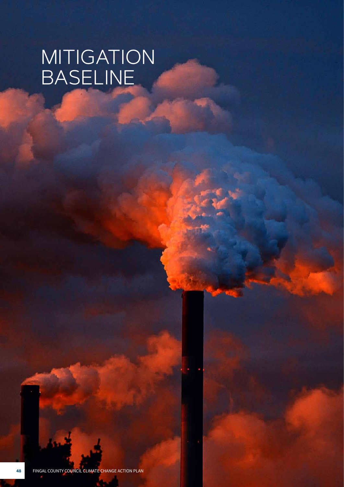# MITIGATION BASELINE

**26**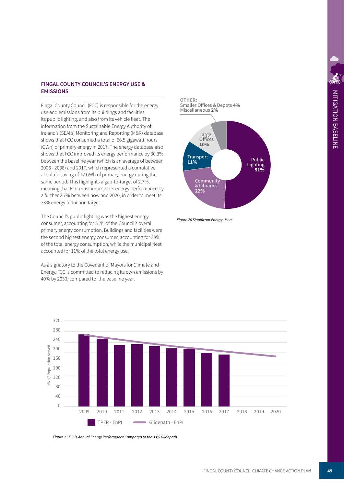#### **FINGAL COUNTY COUNCIL'S ENERGY USE & EMISSIONS**

Fingal County Council (FCC) is responsible for the energy use and emissions from its buildings and facilities, its public lighting, and also from its vehicle fleet. The information from the Sustainable Energy Authority of Ireland's (SEAI's) Monitoring and Reporting (M&R) database shows that FCC consumed a total of 56.5 gigawatt hours (GWh) of primary energy in 2017. The energy database also shows that FCC improved its energy performance by 30.3% between the baseline year (which is an average of between 2006 - 2008) and 2017, which represented a cumulative absolute saving of 12 GWh of primary energy during the same period. This highlights a gap-to-target of 2.7%, meaning that FCC must improve its energy performance by a further 2.7% between now and 2020, in order to meet its 33% energy reduction target.

The Council's public lighting was the highest energy consumer, accounting for 51% of the Council's overall primary energy consumption. Buildings and facilities were the second highest energy consumer, accounting for 38% of the total energy consumption, while the municipal fleet accounted for 11% of the total energy use.

As a signatory to the Covenant of Mayors for Climate and Energy, FCC is committed to reducing its own emissions by 40% by 2030, compared to the baseline year.



Figure 20 Significant Energy Users



*Figure 21 FCC's Annual Energy Performance Compared to the 33% Glidepath*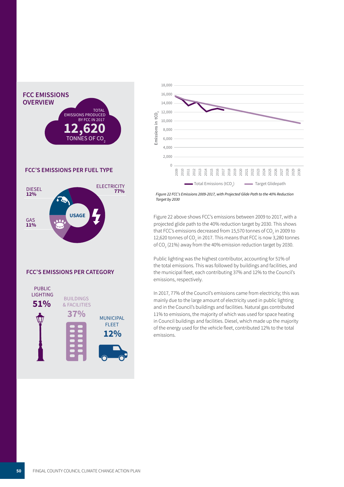



## **FCC'S EMISSIONS PER CATEGORY**





 *Figure 22 FCC's Emissions 2009-2017, with Projected Glide Path to the 40% Reduction Target by 2030*


  projected glide path to the 40% reduction target by 2030. This shows that FCC's emissions decreased from 15,570 tonnes of CO<sub>2</sub> in 2009 to 12,620 tonnes of CO<sub>2</sub> in 2017. This means that FCC is now 3,280 tonnes Figure 22 above shows FCC's emissions between 2009 to 2017, with a of CO<sub>2</sub> (21%) away from the 40% emission reduction target by 2030.

The total emissions. This was followed by buildings and facilities, and<br>the total emissions. This was followed by buildings and facilities, and<br>the municipal fleet, each contributing 37% and 12% to the Council's Public lighting was the highest contributor, accounting for 51% of the municipal fleet, each contributing 37% and 12% to the Council's emissions, respectively.

 and in the Council's buildings and facilities. Natural gas contributed  $\frac{1}{2}$  
 11% to emissions, the majority of which was used for space heating in Council buildings and facilities. Diesel, which made up the majority In 2017, 77% of the Council's emissions came from electricity; this was mainly due to the large amount of electricity used in public lighting of the energy used for the vehicle fleet, contributed 12% to the total emissions.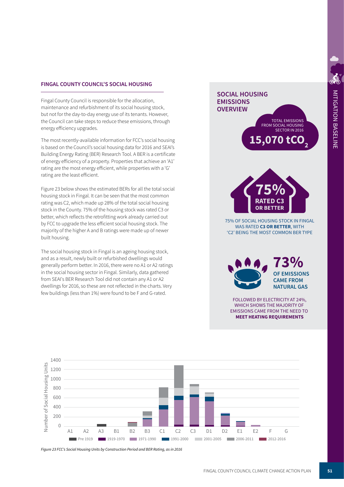### **FINGAL COUNTY COUNCIL'S SOCIAL HOUSING**

 Fingal County Council is responsible for the allocation, the Council can take steps to reduce these emissions, through<br>energy efficiency upgrades. maintenance and refurbishment of its social housing stock,   but not for the day-to-day energy use of its tenants. However, energy efficiency upgrades.

 rating are the most energy efficient, while properties with a 'G' The most recently-available information for FCC's social housing<br>
The most recently-available information for FCC's social housing is based on the Council's social housing data for 2016 and SEAI's Building Energy Rating (BER) Research Tool. A BER is a certificate of energy efficiency of a property. Properties that achieve an 'A1' rating are the least efficient.

  Figure 23 below shows the estimated BERs for all the total social  better, which reflects the retrofitting work already carried out by FCC to upgrade the less efficient social housing stock. The stock in the County. 75% of the housing stock was rated C3 or housing stock in Fingal. It can be seen that the most common rating was C2, which made up 28% of the total social housing majority of the higher A and B ratings were made up of newer built housing.

 generally perform better. In 2016, there were no A1 or A2 ratings dwellings for 2016, so these are not reflected in the charts. Very  few buildings (less than 1%) were found to be F and G-rated. The social housing stock in Fingal is an ageing housing stock, and as a result, newly built or refurbished dwellings would in the social housing sector in Fingal. Similarly, data gathered from SEAI's BER Research Tool did not contain any A1 or A2





75% OF SOCIAL HOUSING STOCK IN FINGAL WAS RATED C3 OR BETTER. WITH 'C2' BEING THE MOST COMMON BER TYPE



FOLLOWED BY ELECTRICITY AT 24%, WHICH SHOWS THE MAJORITY OF **EMISSIONS CAME FROM THE NEED TO MEET HEATING REQUIREMENTS** 



Figure 23 FCC's Social Housing Units by Construction Period and BER Rating, as in 2016